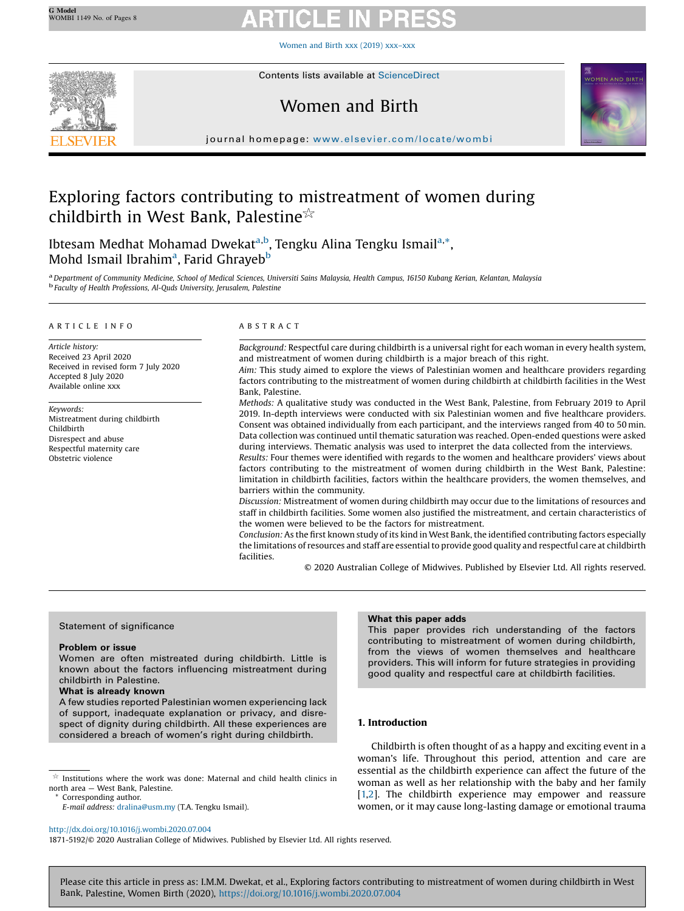[Women](http://dx.doi.org/10.1016/j.wombi.2020.07.004) and Birth xxx (2019) xxx–xxx



# Women and Birth



journal homepage: www.elsevier.com/locate/women/locate/women/locate/women/locate/women/locate/women/locate/women/locate/women/locate/women/locate/women/locate/women/locate/women/locate/women/locate/women/locate/wombi $\mathcal{$ 

# Exploring factors contributing to mistreatment of women during childbirth in West Bank, Palestine $\mathbb{R}$

Ibtesam Medhat Mohamad Dwekat<sup>a,b</sup>, Tengku Alina Tengku Ismail<sup>a,\*</sup>, Mohd Ismail Ibrahim<sup>a</sup>, Farid Ghrayeb<sup>b</sup>

a Department of Community Medicine, School of Medical Sciences, Universiti Sains Malaysia, Health Campus, 16150 Kubang Kerian, Kelantan, Malaysia b Faculty of Health Professions, Al-Quds University, Jerusalem, Palestine

#### A R T I C L E I N F O

Article history: Received 23 April 2020 Received in revised form 7 July 2020 Accepted 8 July 2020 Available online xxx

Keywords: Mistreatment during childbirth Childbirth Disrespect and abuse Respectful maternity care Obstetric violence

#### A B S T R A C T

Background: Respectful care during childbirth is a universal right for each woman in every health system, and mistreatment of women during childbirth is a major breach of this right.

Aim: This study aimed to explore the views of Palestinian women and healthcare providers regarding factors contributing to the mistreatment of women during childbirth at childbirth facilities in the West Bank, Palestine.

Methods: A qualitative study was conducted in the West Bank, Palestine, from February 2019 to April 2019. In-depth interviews were conducted with six Palestinian women and five healthcare providers. Consent was obtained individually from each participant, and the interviews ranged from 40 to 50 min. Data collection was continued until thematic saturation was reached. Open-ended questions were asked during interviews. Thematic analysis was used to interpret the data collected from the interviews.

Results: Four themes were identified with regards to the women and healthcare providers' views about factors contributing to the mistreatment of women during childbirth in the West Bank, Palestine: limitation in childbirth facilities, factors within the healthcare providers, the women themselves, and barriers within the community.

Discussion: Mistreatment of women during childbirth may occur due to the limitations of resources and staff in childbirth facilities. Some women also justified the mistreatment, and certain characteristics of the women were believed to be the factors for mistreatment.

Conclusion: As the first known study of its kind in West Bank, the identified contributing factors especially the limitations of resources and staff are essential to provide good quality and respectful care at childbirth facilities.

© 2020 Australian College of Midwives. Published by Elsevier Ltd. All rights reserved.

Statement of significance

### Problem or issue

Women are often mistreated during childbirth. Little is known about the factors influencing mistreatment during childbirth in Palestine.

# What is already known

A few studies reported Palestinian women experiencing lack of support, inadequate explanation or privacy, and disrespect of dignity during childbirth. All these experiences are considered a breach of women's right during childbirth.

 $\dot{\mathbb{R}}$  Institutions where the work was done: Maternal and child health clinics in north area — West Bank, Palestine.

Corresponding author.

E-mail address: [dralina@usm.my](mailto:dralina@usm.my) (T.A. Tengku Ismail).

1871-5192/© 2020 Australian College of Midwives. Published by Elsevier Ltd. All rights reserved.

### What this paper adds

This paper provides rich understanding of the factors contributing to mistreatment of women during childbirth, from the views of women themselves and healthcare providers. This will inform for future strategies in providing good quality and respectful care at childbirth facilities.

# 1. Introduction

Childbirth is often thought of as a happy and exciting event in a woman's life. Throughout this period, attention and care are essential as the childbirth experience can affect the future of the woman as well as her relationship with the baby and her family [\[1,2\]](#page-6-0). The childbirth experience may empower and reassure women, or it may cause long-lasting damage or emotional trauma

<http://dx.doi.org/10.1016/j.wombi.2020.07.004>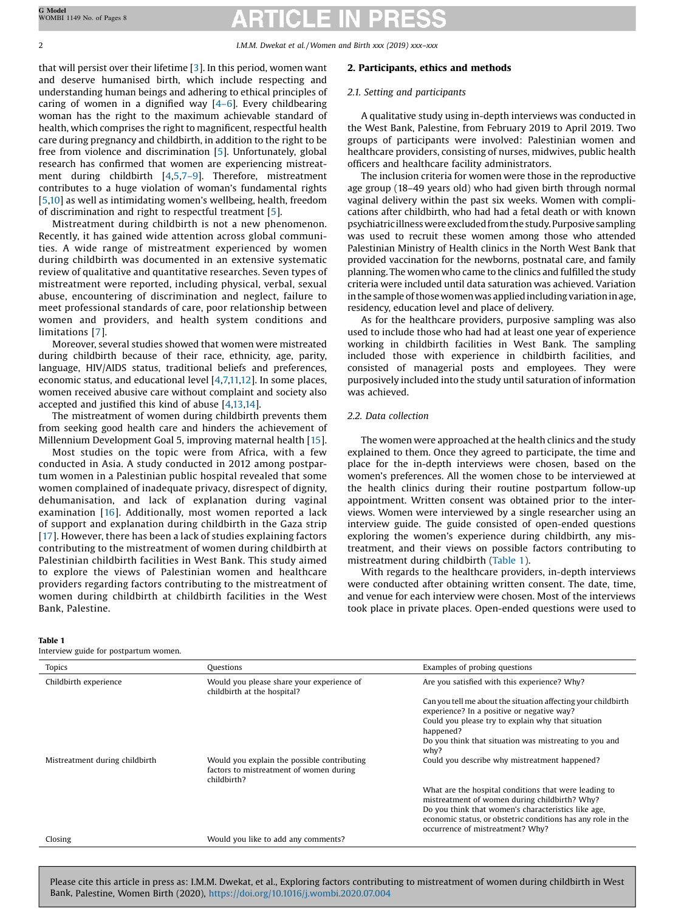that will persist over their lifetime  $[3]$  $[3]$  $[3]$ . In this period, women want and deserve humanised birth, which include respecting and understanding human beings and adhering to ethical principles of caring of women in a dignified way  $[4-6]$ . Every childbearing woman has the right to the maximum achievable standard of health, which comprises the right to magnificent, respectful health care during pregnancy and childbirth, in addition to the right to be free from violence and discrimination [\[5](#page-6-0)]. Unfortunately, global research has confirmed that women are experiencing mistreatment during childbirth [\[4,5](#page-6-0),7–[9\]](#page-7-0). Therefore, mistreatment contributes to a huge violation of woman's fundamental rights [[5](#page-6-0),[10](#page-7-0)] as well as intimidating women's wellbeing, health, freedom of discrimination and right to respectful treatment [[5](#page-6-0)].

Mistreatment during childbirth is not a new phenomenon. Recently, it has gained wide attention across global communities. A wide range of mistreatment experienced by women during childbirth was documented in an extensive systematic review of qualitative and quantitative researches. Seven types of mistreatment were reported, including physical, verbal, sexual abuse, encountering of discrimination and neglect, failure to meet professional standards of care, poor relationship between women and providers, and health system conditions and limitations [[7](#page-7-0)].

Moreover, several studies showed that women were mistreated during childbirth because of their race, ethnicity, age, parity, language, HIV/AIDS status, traditional beliefs and preferences, economic status, and educational level [\[4](#page-6-0)[,7,11,12](#page-7-0)]. In some places, women received abusive care without complaint and society also accepted and justified this kind of abuse [\[4](#page-6-0)[,13,14](#page-7-0)].

The mistreatment of women during childbirth prevents them from seeking good health care and hinders the achievement of Millennium Development Goal 5, improving maternal health [\[15\]](#page-7-0).

Most studies on the topic were from Africa, with a few conducted in Asia. A study conducted in 2012 among postpartum women in a Palestinian public hospital revealed that some women complained of inadequate privacy, disrespect of dignity, dehumanisation, and lack of explanation during vaginal examination [[16](#page-7-0)]. Additionally, most women reported a lack of support and explanation during childbirth in the Gaza strip [[17](#page-7-0)]. However, there has been a lack of studies explaining factors contributing to the mistreatment of women during childbirth at Palestinian childbirth facilities in West Bank. This study aimed to explore the views of Palestinian women and healthcare providers regarding factors contributing to the mistreatment of women during childbirth at childbirth facilities in the West Bank, Palestine.

#### 2. Participants, ethics and methods

#### 2.1. Setting and participants

A qualitative study using in-depth interviews was conducted in the West Bank, Palestine, from February 2019 to April 2019. Two groups of participants were involved: Palestinian women and healthcare providers, consisting of nurses, midwives, public health officers and healthcare facility administrators.

The inclusion criteria for women were those in the reproductive age group (18–49 years old) who had given birth through normal vaginal delivery within the past six weeks. Women with complications after childbirth, who had had a fetal death or with known psychiatric illnesswere excluded from thestudy.Purposivesampling was used to recruit these women among those who attended Palestinian Ministry of Health clinics in the North West Bank that provided vaccination for the newborns, postnatal care, and family planning. The women who came to the clinics and fulfilled the study criteria were included until data saturation was achieved. Variation in the sample of those women was applied including variation in age, residency, education level and place of delivery.

As for the healthcare providers, purposive sampling was also used to include those who had had at least one year of experience working in childbirth facilities in West Bank. The sampling included those with experience in childbirth facilities, and consisted of managerial posts and employees. They were purposively included into the study until saturation of information was achieved.

### 2.2. Data collection

The women were approached at the health clinics and the study explained to them. Once they agreed to participate, the time and place for the in-depth interviews were chosen, based on the women's preferences. All the women chose to be interviewed at the health clinics during their routine postpartum follow-up appointment. Written consent was obtained prior to the interviews. Women were interviewed by a single researcher using an interview guide. The guide consisted of open-ended questions exploring the women's experience during childbirth, any mistreatment, and their views on possible factors contributing to mistreatment during childbirth (Table 1).

With regards to the healthcare providers, in-depth interviews were conducted after obtaining written consent. The date, time, and venue for each interview were chosen. Most of the interviews took place in private places. Open-ended questions were used to

#### Table 1

Interview guide for postpartum women.

| Are you satisfied with this experience? Why?<br>Can you tell me about the situation affecting your childbirth<br>Could you please try to explain why that situation |
|---------------------------------------------------------------------------------------------------------------------------------------------------------------------|
|                                                                                                                                                                     |
|                                                                                                                                                                     |
|                                                                                                                                                                     |
|                                                                                                                                                                     |
| Do you think that situation was mistreating to you and                                                                                                              |
| Could you describe why mistreatment happened?                                                                                                                       |
| What are the hospital conditions that were leading to<br>mistreatment of women during childbirth? Why?                                                              |
| Do you think that women's characteristics like age,<br>economic status, or obstetric conditions has any role in the                                                 |
|                                                                                                                                                                     |
|                                                                                                                                                                     |

Women 1149 No. of Pages 8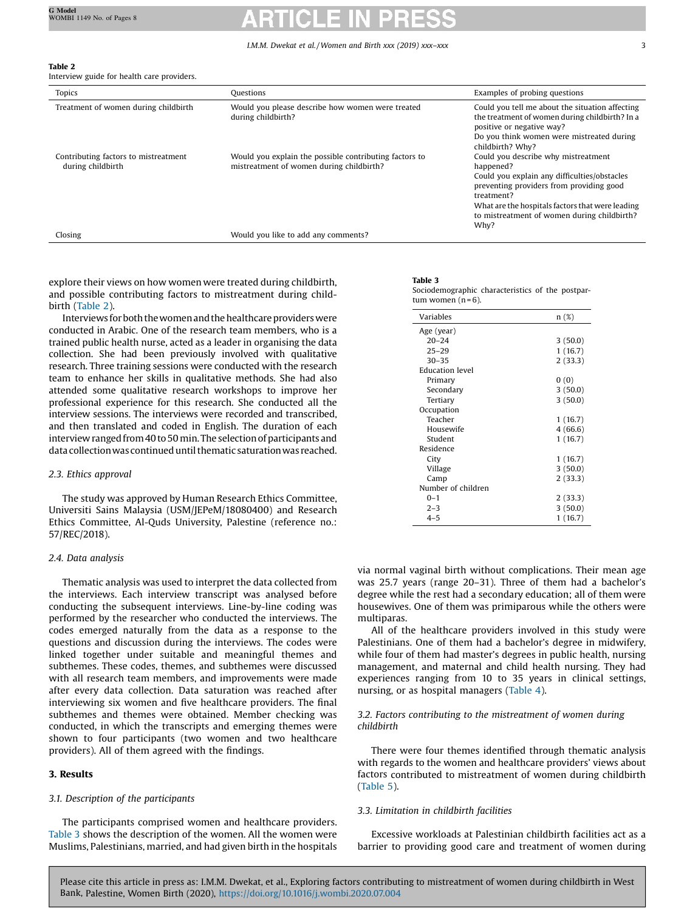| <br>an |  |
|--------|--|
|        |  |

Interview guide for health care providers.

| <b>Topics</b>                                             | Questions                                                                                          | Examples of probing questions                                                                                                                                                                                                                                         |
|-----------------------------------------------------------|----------------------------------------------------------------------------------------------------|-----------------------------------------------------------------------------------------------------------------------------------------------------------------------------------------------------------------------------------------------------------------------|
| Treatment of women during childbirth                      | Would you please describe how women were treated<br>during childbirth?                             | Could you tell me about the situation affecting<br>the treatment of women during childbirth? In a<br>positive or negative way?<br>Do you think women were mistreated during<br>childbirth? Why?                                                                       |
| Contributing factors to mistreatment<br>during childbirth | Would you explain the possible contributing factors to<br>mistreatment of women during childbirth? | Could you describe why mistreatment<br>happened?<br>Could you explain any difficulties/obstacles<br>preventing providers from providing good<br>treatment?<br>What are the hospitals factors that were leading<br>to mistreatment of women during childbirth?<br>Why? |
| Closing                                                   | Would you like to add any comments?                                                                |                                                                                                                                                                                                                                                                       |

explore their views on how women were treated during childbirth, and possible contributing factors to mistreatment during childbirth (Table 2).

Interviews for both the women and the healthcare providers were conducted in Arabic. One of the research team members, who is a trained public health nurse, acted as a leader in organising the data collection. She had been previously involved with qualitative research. Three training sessions were conducted with the research team to enhance her skills in qualitative methods. She had also attended some qualitative research workshops to improve her professional experience for this research. She conducted all the interview sessions. The interviews were recorded and transcribed, and then translated and coded in English. The duration of each interview ranged from 40 to 50 min. The selection of participants and data collection was continued until thematic saturation was reached.

### 2.3. Ethics approval

The study was approved by Human Research Ethics Committee, Universiti Sains Malaysia (USM/JEPeM/18080400) and Research Ethics Committee, Al-Quds University, Palestine (reference no.: 57/REC/2018).

# 2.4. Data analysis

Thematic analysis was used to interpret the data collected from the interviews. Each interview transcript was analysed before conducting the subsequent interviews. Line-by-line coding was performed by the researcher who conducted the interviews. The codes emerged naturally from the data as a response to the questions and discussion during the interviews. The codes were linked together under suitable and meaningful themes and subthemes. These codes, themes, and subthemes were discussed with all research team members, and improvements were made after every data collection. Data saturation was reached after interviewing six women and five healthcare providers. The final subthemes and themes were obtained. Member checking was conducted, in which the transcripts and emerging themes were shown to four participants (two women and two healthcare providers). All of them agreed with the findings.

# 3. Results

# 3.1. Description of the participants

The participants comprised women and healthcare providers. Table 3 shows the description of the women. All the women were Muslims, Palestinians, married, and had given birth in the hospitals

# Table 3

| Sociodemographic characteristics of the postpar- |  |  |
|--------------------------------------------------|--|--|
| tum women $(n=6)$ .                              |  |  |

| Variables              | n(%)    |
|------------------------|---------|
| Age (year)             |         |
| $20 - 24$              | 3(50.0) |
| $25 - 29$              | 1(16.7) |
| $30 - 35$              | 2(33.3) |
| <b>Education level</b> |         |
| Primary                | 0(0)    |
| Secondary              | 3(50.0) |
| Tertiary               | 3(50.0) |
| Occupation             |         |
| Teacher                | 1(16.7) |
| Housewife              | 4(66.6) |
| Student                | 1(16.7) |
| Residence              |         |
| City                   | 1(16.7) |
| Village                | 3(50.0) |
| Camp                   | 2(33.3) |
| Number of children     |         |
| $0 - 1$                | 2(33.3) |
| $2 - 3$                | 3(50.0) |
| $4 - 5$                | 1(16.7) |
|                        |         |

via normal vaginal birth without complications. Their mean age was 25.7 years (range 20–31). Three of them had a bachelor's degree while the rest had a secondary education; all of them were housewives. One of them was primiparous while the others were multiparas.

All of the healthcare providers involved in this study were Palestinians. One of them had a bachelor's degree in midwifery, while four of them had master's degrees in public health, nursing management, and maternal and child health nursing. They had experiences ranging from 10 to 35 years in clinical settings, nursing, or as hospital managers [\(Table](#page-3-0) 4).

# 3.2. Factors contributing to the mistreatment of women during childbirth

There were four themes identified through thematic analysis with regards to the women and healthcare providers' views about factors contributed to mistreatment of women during childbirth ([Table](#page-3-0) 5).

# 3.3. Limitation in childbirth facilities

Excessive workloads at Palestinian childbirth facilities act as a barrier to providing good care and treatment of women during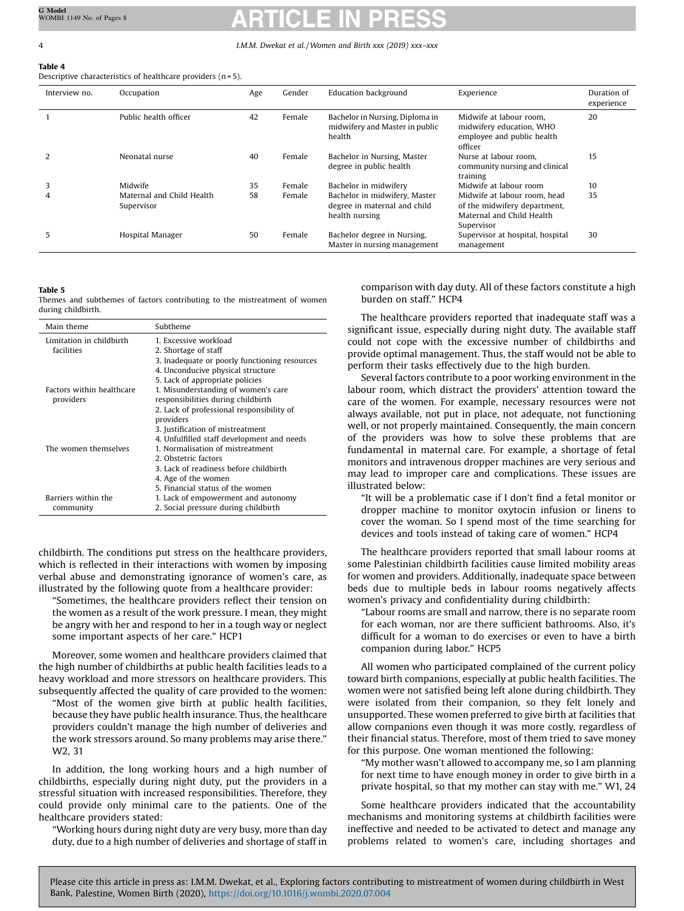<span id="page-3-0"></span>Table 4

Descriptive characteristics of healthcare providers  $(n=5)$ .

| Interview no. | Occupation                              | Age | Gender | <b>Education background</b>                                                     | Experience                                                                                              | Duration of<br>experience |
|---------------|-----------------------------------------|-----|--------|---------------------------------------------------------------------------------|---------------------------------------------------------------------------------------------------------|---------------------------|
|               | Public health officer                   | 42  | Female | Bachelor in Nursing, Diploma in<br>midwifery and Master in public<br>health     | Midwife at labour room.<br>midwifery education, WHO<br>employee and public health<br>officer            | 20                        |
|               | Neonatal nurse                          | 40  | Female | Bachelor in Nursing, Master<br>degree in public health                          | Nurse at labour room.<br>community nursing and clinical<br>training                                     | 15                        |
|               | Midwife                                 | 35  | Female | Bachelor in midwifery                                                           | Midwife at labour room                                                                                  | 10                        |
| 4             | Maternal and Child Health<br>Supervisor | 58  | Female | Bachelor in midwifery, Master<br>degree in maternal and child<br>health nursing | Midwife at labour room, head<br>of the midwifery department,<br>Maternal and Child Health<br>Supervisor | 35                        |
|               | Hospital Manager                        | 50  | Female | Bachelor degree in Nursing,<br>Master in nursing management                     | Supervisor at hospital, hospital<br>management                                                          | 30                        |

#### Table 5

Themes and subthemes of factors contributing to the mistreatment of women during childbirth.

| Main theme                             | Subtheme                                                                                      |
|----------------------------------------|-----------------------------------------------------------------------------------------------|
| Limitation in childbirth<br>facilities | 1 Excessive workload<br>2. Shortage of staff<br>3. Inadequate or poorly functioning resources |
|                                        | 4. Unconducive physical structure<br>5. Lack of appropriate policies                          |
| Factors within healthcare<br>providers | 1. Misunderstanding of women's care<br>responsibilities during childbirth                     |
|                                        | 2. Lack of professional responsibility of<br>providers                                        |
|                                        | 3. Justification of mistreatment<br>4. Unfulfilled staff development and needs                |
| The women themselves                   | 1. Normalisation of mistreatment<br>2. Obstetric factors                                      |
|                                        | 3. Lack of readiness before childbirth                                                        |
|                                        | 4. Age of the women<br>5. Financial status of the women                                       |
| Barriers within the                    | 1. Lack of empowerment and autonomy                                                           |
| community                              | 2. Social pressure during childbirth                                                          |

childbirth. The conditions put stress on the healthcare providers, which is reflected in their interactions with women by imposing verbal abuse and demonstrating ignorance of women's care, as illustrated by the following quote from a healthcare provider:

"Sometimes, the healthcare providers reflect their tension on the women as a result of the work pressure. I mean, they might be angry with her and respond to her in a tough way or neglect some important aspects of her care." HCP1

Moreover, some women and healthcare providers claimed that the high number of childbirths at public health facilities leads to a heavy workload and more stressors on healthcare providers. This subsequently affected the quality of care provided to the women:

"Most of the women give birth at public health facilities, because they have public health insurance. Thus, the healthcare providers couldn't manage the high number of deliveries and the work stressors around. So many problems may arise there." W2, 31

In addition, the long working hours and a high number of childbirths, especially during night duty, put the providers in a stressful situation with increased responsibilities. Therefore, they could provide only minimal care to the patients. One of the healthcare providers stated:

"Working hours during night duty are very busy, more than day duty, due to a high number of deliveries and shortage of staff in comparison with day duty. All of these factors constitute a high burden on staff." HCP4

The healthcare providers reported that inadequate staff was a significant issue, especially during night duty. The available staff could not cope with the excessive number of childbirths and provide optimal management. Thus, the staff would not be able to perform their tasks effectively due to the high burden.

Several factors contribute to a poor working environment in the labour room, which distract the providers' attention toward the care of the women. For example, necessary resources were not always available, not put in place, not adequate, not functioning well, or not properly maintained. Consequently, the main concern of the providers was how to solve these problems that are fundamental in maternal care. For example, a shortage of fetal monitors and intravenous dropper machines are very serious and may lead to improper care and complications. These issues are illustrated below:

"It will be a problematic case if I don't find a fetal monitor or dropper machine to monitor oxytocin infusion or linens to cover the woman. So I spend most of the time searching for devices and tools instead of taking care of women." HCP4

The healthcare providers reported that small labour rooms at some Palestinian childbirth facilities cause limited mobility areas for women and providers. Additionally, inadequate space between beds due to multiple beds in labour rooms negatively affects women's privacy and confidentiality during childbirth:

"Labour rooms are small and narrow, there is no separate room for each woman, nor are there sufficient bathrooms. Also, it's difficult for a woman to do exercises or even to have a birth companion during labor." HCP5

All women who participated complained of the current policy toward birth companions, especially at public health facilities. The women were not satisfied being left alone during childbirth. They were isolated from their companion, so they felt lonely and unsupported. These women preferred to give birth at facilities that allow companions even though it was more costly, regardless of their financial status. Therefore, most of them tried to save money for this purpose. One woman mentioned the following:

"My mother wasn't allowed to accompany me, so I am planning for next time to have enough money in order to give birth in a private hospital, so that my mother can stay with me." W1, 24

Some healthcare providers indicated that the accountability mechanisms and monitoring systems at childbirth facilities were ineffective and needed to be activated to detect and manage any problems related to women's care, including shortages and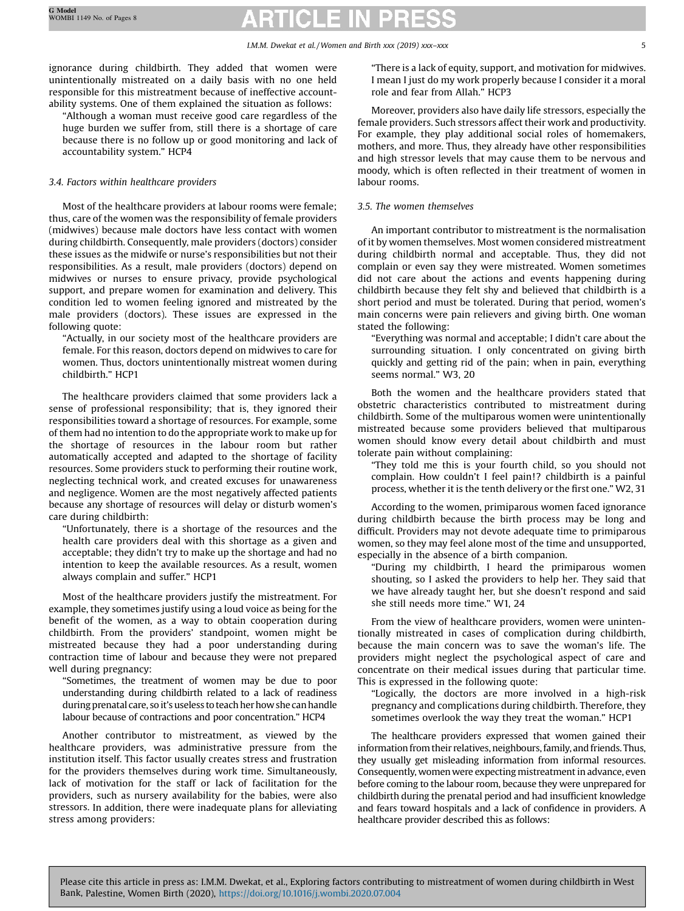ignorance during childbirth. They added that women were unintentionally mistreated on a daily basis with no one held responsible for this mistreatment because of ineffective accountability systems. One of them explained the situation as follows:

"Although a woman must receive good care regardless of the huge burden we suffer from, still there is a shortage of care because there is no follow up or good monitoring and lack of accountability system." HCP4

# 3.4. Factors within healthcare providers

Most of the healthcare providers at labour rooms were female; thus, care of the women was the responsibility of female providers (midwives) because male doctors have less contact with women during childbirth. Consequently, male providers (doctors) consider these issues as the midwife or nurse's responsibilities but not their responsibilities. As a result, male providers (doctors) depend on midwives or nurses to ensure privacy, provide psychological support, and prepare women for examination and delivery. This condition led to women feeling ignored and mistreated by the male providers (doctors). These issues are expressed in the following quote:

"Actually, in our society most of the healthcare providers are female. For this reason, doctors depend on midwives to care for women. Thus, doctors unintentionally mistreat women during childbirth." HCP1

The healthcare providers claimed that some providers lack a sense of professional responsibility; that is, they ignored their responsibilities toward a shortage of resources. For example, some of them had no intention to do the appropriate work to make up for the shortage of resources in the labour room but rather automatically accepted and adapted to the shortage of facility resources. Some providers stuck to performing their routine work, neglecting technical work, and created excuses for unawareness and negligence. Women are the most negatively affected patients because any shortage of resources will delay or disturb women's care during childbirth:

"Unfortunately, there is a shortage of the resources and the health care providers deal with this shortage as a given and acceptable; they didn't try to make up the shortage and had no intention to keep the available resources. As a result, women always complain and suffer." HCP1

Most of the healthcare providers justify the mistreatment. For example, they sometimes justify using a loud voice as being for the benefit of the women, as a way to obtain cooperation during childbirth. From the providers' standpoint, women might be mistreated because they had a poor understanding during contraction time of labour and because they were not prepared well during pregnancy:

"Sometimes, the treatment of women may be due to poor understanding during childbirth related to a lack of readiness during prenatal care, so it's useless to teach her how she can handle labour because of contractions and poor concentration." HCP4

Another contributor to mistreatment, as viewed by the healthcare providers, was administrative pressure from the institution itself. This factor usually creates stress and frustration for the providers themselves during work time. Simultaneously, lack of motivation for the staff or lack of facilitation for the providers, such as nursery availability for the babies, were also stressors. In addition, there were inadequate plans for alleviating stress among providers:

"There is a lack of equity, support, and motivation for midwives. I mean I just do my work properly because I consider it a moral role and fear from Allah." HCP3

Moreover, providers also have daily life stressors, especially the female providers. Such stressors affect their work and productivity. For example, they play additional social roles of homemakers, mothers, and more. Thus, they already have other responsibilities and high stressor levels that may cause them to be nervous and moody, which is often reflected in their treatment of women in labour rooms.

# 3.5. The women themselves

An important contributor to mistreatment is the normalisation of it by women themselves. Most women considered mistreatment during childbirth normal and acceptable. Thus, they did not complain or even say they were mistreated. Women sometimes did not care about the actions and events happening during childbirth because they felt shy and believed that childbirth is a short period and must be tolerated. During that period, women's main concerns were pain relievers and giving birth. One woman stated the following:

"Everything was normal and acceptable; I didn't care about the surrounding situation. I only concentrated on giving birth quickly and getting rid of the pain; when in pain, everything seems normal." W3, 20

Both the women and the healthcare providers stated that obstetric characteristics contributed to mistreatment during childbirth. Some of the multiparous women were unintentionally mistreated because some providers believed that multiparous women should know every detail about childbirth and must tolerate pain without complaining:

"They told me this is your fourth child, so you should not complain. How couldn't I feel pain!? childbirth is a painful process, whether it is the tenth delivery or the first one." W2, 31

According to the women, primiparous women faced ignorance during childbirth because the birth process may be long and difficult. Providers may not devote adequate time to primiparous women, so they may feel alone most of the time and unsupported, especially in the absence of a birth companion.

"During my childbirth, I heard the primiparous women shouting, so I asked the providers to help her. They said that we have already taught her, but she doesn't respond and said she still needs more time." W1, 24

From the view of healthcare providers, women were unintentionally mistreated in cases of complication during childbirth, because the main concern was to save the woman's life. The providers might neglect the psychological aspect of care and concentrate on their medical issues during that particular time. This is expressed in the following quote:

"Logically, the doctors are more involved in a high-risk pregnancy and complications during childbirth. Therefore, they sometimes overlook the way they treat the woman." HCP1

The healthcare providers expressed that women gained their information from their relatives, neighbours, family, and friends. Thus, they usually get misleading information from informal resources. Consequently, women were expecting mistreatment in advance, even before coming to the labour room, because they were unprepared for childbirth during the prenatal period and had insufficient knowledge and fears toward hospitals and a lack of confidence in providers. A healthcare provider described this as follows: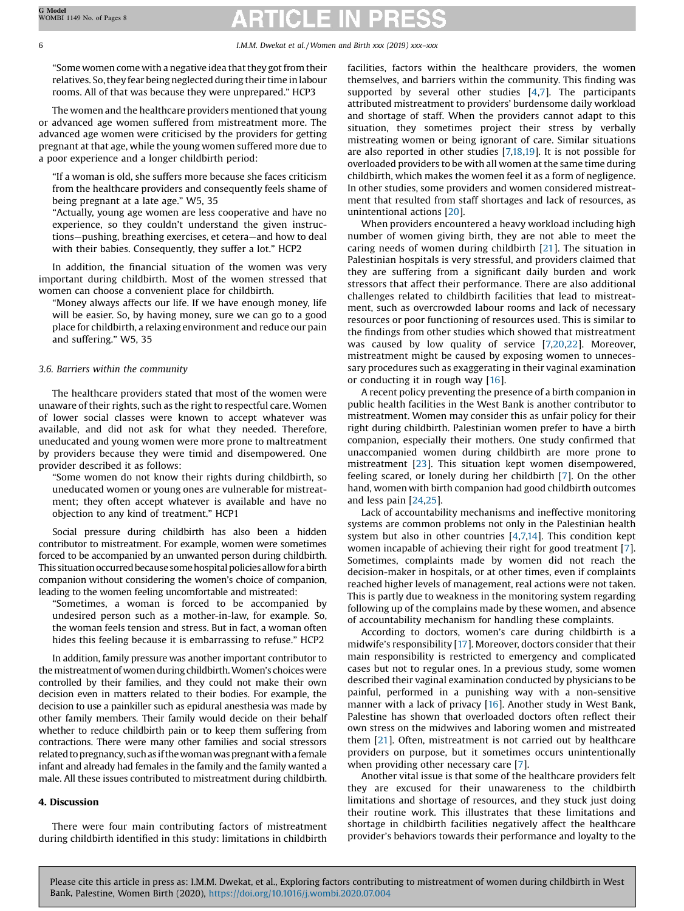"Some women come with a negative idea that they got from their relatives. So, they fear being neglected during their time in labour rooms. All of that was because they were unprepared." HCP3

The women and the healthcare providers mentioned that young or advanced age women suffered from mistreatment more. The advanced age women were criticised by the providers for getting pregnant at that age, while the young women suffered more due to a poor experience and a longer childbirth period:

"If a woman is old, she suffers more because she faces criticism from the healthcare providers and consequently feels shame of being pregnant at a late age." W5, 35

"Actually, young age women are less cooperative and have no experience, so they couldn't understand the given instructions—pushing, breathing exercises, et cetera—and how to deal with their babies. Consequently, they suffer a lot." HCP2

In addition, the financial situation of the women was very important during childbirth. Most of the women stressed that women can choose a convenient place for childbirth.

"Money always affects our life. If we have enough money, life will be easier. So, by having money, sure we can go to a good place for childbirth, a relaxing environment and reduce our pain and suffering." W5, 35

#### 3.6. Barriers within the community

The healthcare providers stated that most of the women were unaware of their rights, such as the right to respectful care. Women of lower social classes were known to accept whatever was available, and did not ask for what they needed. Therefore, uneducated and young women were more prone to maltreatment by providers because they were timid and disempowered. One provider described it as follows:

"Some women do not know their rights during childbirth, so uneducated women or young ones are vulnerable for mistreatment; they often accept whatever is available and have no objection to any kind of treatment." HCP1

Social pressure during childbirth has also been a hidden contributor to mistreatment. For example, women were sometimes forced to be accompanied by an unwanted person during childbirth. This situation occurred because some hospital policies allow for a birth companion without considering the women's choice of companion, leading to the women feeling uncomfortable and mistreated:

"Sometimes, a woman is forced to be accompanied by undesired person such as a mother-in-law, for example. So, the woman feels tension and stress. But in fact, a woman often hides this feeling because it is embarrassing to refuse." HCP2

In addition, family pressure was another important contributor to the mistreatment of women during childbirth. Women's choices were controlled by their families, and they could not make their own decision even in matters related to their bodies. For example, the decision to use a painkiller such as epidural anesthesia was made by other family members. Their family would decide on their behalf whether to reduce childbirth pain or to keep them suffering from contractions. There were many other families and social stressors related to pregnancy, such as if the woman was pregnant with a female infant and already had females in the family and the family wanted a male. All these issues contributed to mistreatment during childbirth.

# 4. Discussion

There were four main contributing factors of mistreatment during childbirth identified in this study: limitations in childbirth

facilities, factors within the healthcare providers, the women themselves, and barriers within the community. This finding was supported by several other studies [\[4](#page-6-0)[,7](#page-7-0)]. The participants attributed mistreatment to providers' burdensome daily workload and shortage of staff. When the providers cannot adapt to this situation, they sometimes project their stress by verbally mistreating women or being ignorant of care. Similar situations are also reported in other studies [\[7,18,19](#page-7-0)]. It is not possible for overloaded providers to be with all women at the same time during childbirth, which makes the women feel it as a form of negligence. In other studies, some providers and women considered mistreatment that resulted from staff shortages and lack of resources, as unintentional actions [\[20](#page-7-0)].

When providers encountered a heavy workload including high number of women giving birth, they are not able to meet the caring needs of women during childbirth [[21](#page-7-0)]. The situation in Palestinian hospitals is very stressful, and providers claimed that they are suffering from a significant daily burden and work stressors that affect their performance. There are also additional challenges related to childbirth facilities that lead to mistreatment, such as overcrowded labour rooms and lack of necessary resources or poor functioning of resources used. This is similar to the findings from other studies which showed that mistreatment was caused by low quality of service [\[7,20](#page-7-0),[22](#page-7-0)]. Moreover, mistreatment might be caused by exposing women to unnecessary procedures such as exaggerating in their vaginal examination or conducting it in rough way [[16](#page-7-0)].

A recent policy preventing the presence of a birth companion in public health facilities in the West Bank is another contributor to mistreatment. Women may consider this as unfair policy for their right during childbirth. Palestinian women prefer to have a birth companion, especially their mothers. One study confirmed that unaccompanied women during childbirth are more prone to mistreatment [\[23](#page-7-0)]. This situation kept women disempowered, feeling scared, or lonely during her childbirth [\[7](#page-7-0)]. On the other hand, women with birth companion had good childbirth outcomes and less pain [\[24,25\]](#page-7-0).

Lack of accountability mechanisms and ineffective monitoring systems are common problems not only in the Palestinian health system but also in other countries  $[4,7,14]$  $[4,7,14]$  $[4,7,14]$ . This condition kept women incapable of achieving their right for good treatment [[7\]](#page-7-0). Sometimes, complaints made by women did not reach the decision-maker in hospitals, or at other times, even if complaints reached higher levels of management, real actions were not taken. This is partly due to weakness in the monitoring system regarding following up of the complains made by these women, and absence of accountability mechanism for handling these complaints.

According to doctors, women's care during childbirth is a midwife's responsibility [\[17](#page-7-0)]. Moreover, doctors consider that their main responsibility is restricted to emergency and complicated cases but not to regular ones. In a previous study, some women described their vaginal examination conducted by physicians to be painful, performed in a punishing way with a non-sensitive manner with a lack of privacy [\[16](#page-7-0)]. Another study in West Bank, Palestine has shown that overloaded doctors often reflect their own stress on the midwives and laboring women and mistreated them [\[21](#page-7-0)]. Often, mistreatment is not carried out by healthcare providers on purpose, but it sometimes occurs unintentionally when providing other necessary care [\[7](#page-7-0)].

Another vital issue is that some of the healthcare providers felt they are excused for their unawareness to the childbirth limitations and shortage of resources, and they stuck just doing their routine work. This illustrates that these limitations and shortage in childbirth facilities negatively affect the healthcare provider's behaviors towards their performance and loyalty to the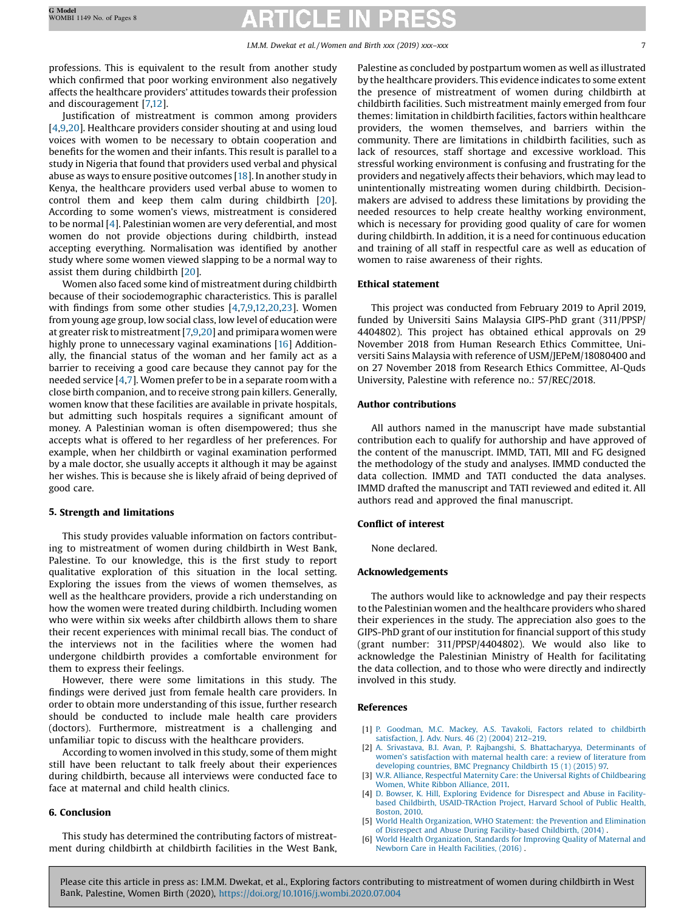<span id="page-6-0"></span>professions. This is equivalent to the result from another study which confirmed that poor working environment also negatively affects the healthcare providers' attitudes towards their profession and discouragement [[7,12\]](#page-7-0).

Justification of mistreatment is common among providers [4[,9](#page-7-0),[20](#page-7-0)]. Healthcare providers consider shouting at and using loud voices with women to be necessary to obtain cooperation and benefits for the women and their infants. This result is parallel to a study in Nigeria that found that providers used verbal and physical abuse as ways to ensure positive outcomes [[18](#page-7-0)]. In another study in Kenya, the healthcare providers used verbal abuse to women to control them and keep them calm during childbirth [[20](#page-7-0)]. According to some women's views, mistreatment is considered to be normal [4]. Palestinian women are very deferential, and most women do not provide objections during childbirth, instead accepting everything. Normalisation was identified by another study where some women viewed slapping to be a normal way to assist them during childbirth [[20](#page-7-0)].

Women also faced some kind of mistreatment during childbirth because of their sociodemographic characteristics. This is parallel with findings from some other studies [4[,7,9](#page-7-0),[12,20,23](#page-7-0)]. Women from young age group, low social class, low level of education were at greater risk to mistreatment[[7,9,20\]](#page-7-0) and primipara women were highly prone to unnecessary vaginal examinations [\[16](#page-7-0)] Additionally, the financial status of the woman and her family act as a barrier to receiving a good care because they cannot pay for the needed service [4,[7](#page-7-0)]. Women prefer to be in a separate room with a close birth companion, and to receive strong pain killers. Generally, women know that these facilities are available in private hospitals, but admitting such hospitals requires a significant amount of money. A Palestinian woman is often disempowered; thus she accepts what is offered to her regardless of her preferences. For example, when her childbirth or vaginal examination performed by a male doctor, she usually accepts it although it may be against her wishes. This is because she is likely afraid of being deprived of good care.

### 5. Strength and limitations

This study provides valuable information on factors contributing to mistreatment of women during childbirth in West Bank, Palestine. To our knowledge, this is the first study to report qualitative exploration of this situation in the local setting. Exploring the issues from the views of women themselves, as well as the healthcare providers, provide a rich understanding on how the women were treated during childbirth. Including women who were within six weeks after childbirth allows them to share their recent experiences with minimal recall bias. The conduct of the interviews not in the facilities where the women had undergone childbirth provides a comfortable environment for them to express their feelings.

However, there were some limitations in this study. The findings were derived just from female health care providers. In order to obtain more understanding of this issue, further research should be conducted to include male health care providers (doctors). Furthermore, mistreatment is a challenging and unfamiliar topic to discuss with the healthcare providers.

According to women involved in this study, some of them might still have been reluctant to talk freely about their experiences during childbirth, because all interviews were conducted face to face at maternal and child health clinics.

# 6. Conclusion

This study has determined the contributing factors of mistreatment during childbirth at childbirth facilities in the West Bank, Palestine as concluded by postpartum women as well as illustrated by the healthcare providers. This evidence indicates to some extent the presence of mistreatment of women during childbirth at childbirth facilities. Such mistreatment mainly emerged from four themes: limitation in childbirth facilities, factors within healthcare providers, the women themselves, and barriers within the community. There are limitations in childbirth facilities, such as lack of resources, staff shortage and excessive workload. This stressful working environment is confusing and frustrating for the providers and negatively affects their behaviors, which may lead to unintentionally mistreating women during childbirth. Decisionmakers are advised to address these limitations by providing the needed resources to help create healthy working environment, which is necessary for providing good quality of care for women during childbirth. In addition, it is a need for continuous education and training of all staff in respectful care as well as education of women to raise awareness of their rights.

#### Ethical statement

This project was conducted from February 2019 to April 2019, funded by Universiti Sains Malaysia GIPS-PhD grant (311/PPSP/ 4404802). This project has obtained ethical approvals on 29 November 2018 from Human Research Ethics Committee, Universiti Sains Malaysia with reference of USM/JEPeM/18080400 and on 27 November 2018 from Research Ethics Committee, Al-Quds University, Palestine with reference no.: 57/REC/2018.

### Author contributions

All authors named in the manuscript have made substantial contribution each to qualify for authorship and have approved of the content of the manuscript. IMMD, TATI, MII and FG designed the methodology of the study and analyses. IMMD conducted the data collection. IMMD and TATI conducted the data analyses. IMMD drafted the manuscript and TATI reviewed and edited it. All authors read and approved the final manuscript.

### Conflict of interest

None declared.

### Acknowledgements

The authors would like to acknowledge and pay their respects to the Palestinian women and the healthcare providers who shared their experiences in the study. The appreciation also goes to the GIPS-PhD grant of our institution for financial support of this study (grant number: 311/PPSP/4404802). We would also like to acknowledge the Palestinian Ministry of Health for facilitating the data collection, and to those who were directly and indirectly involved in this study.

### References

- [1] P. [Goodman,](http://refhub.elsevier.com/S1871-5192(20)30282-1/sbref0005) M.C. Mackey, A.S. Tavakoli, Factors related to childbirth [satisfaction,](http://refhub.elsevier.com/S1871-5192(20)30282-1/sbref0005) J. Adv. Nurs. 46 (2) (2004) 212–219.
- [2] A. Srivastava, B.I. Avan, P. Rajbangshi, S. [Bhattacharyya,](http://refhub.elsevier.com/S1871-5192(20)30282-1/sbref0010) Determinants of women's [satisfaction](http://refhub.elsevier.com/S1871-5192(20)30282-1/sbref0010) with maternal health care: a review of literature from [developing](http://refhub.elsevier.com/S1871-5192(20)30282-1/sbref0010) countries, BMC Pregnancy Childbirth 15 (1) (2015) 97.
- [3] W.R. Alliance, Respectful Maternity Care: the Universal Rights of [Childbearing](http://refhub.elsevier.com/S1871-5192(20)30282-1/sbref0015) Women, White Ribbon [Alliance,](http://refhub.elsevier.com/S1871-5192(20)30282-1/sbref0015) 2011.
- [4] D. Bowser, K. Hill, Exploring Evidence for [Disrespect](http://refhub.elsevier.com/S1871-5192(20)30282-1/sbref0020) and Abuse in Facilitybased Childbirth, [USAID-TRAction](http://refhub.elsevier.com/S1871-5192(20)30282-1/sbref0020) Project, Harvard School of Public Health, [Boston,](http://refhub.elsevier.com/S1871-5192(20)30282-1/sbref0020) 2010.
- [5] World Health [Organization,](http://refhub.elsevier.com/S1871-5192(20)30282-1/sbref0025) WHO Statement: the Prevention and Elimination of Disrespect and Abuse During [Facility-based](http://refhub.elsevier.com/S1871-5192(20)30282-1/sbref0025) Childbirth, (2014) .
- [6] World Health [Organization,](http://refhub.elsevier.com/S1871-5192(20)30282-1/sbref0030) Standards for Improving Quality of Maternal and [Newborn](http://refhub.elsevier.com/S1871-5192(20)30282-1/sbref0030) Care in Health Facilities, (2016) .